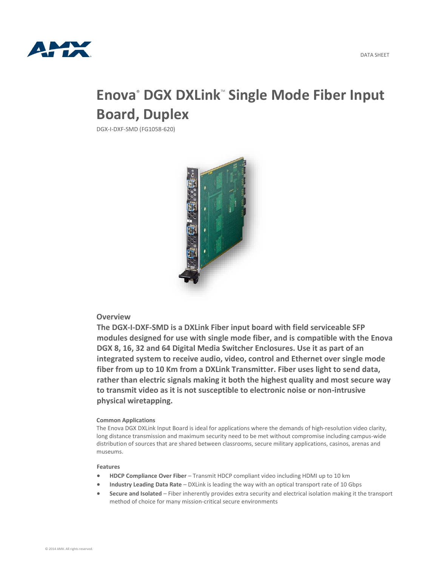

# **Enova® DGX DXLink<sup>™</sup> Single Mode Fiber Input Board, Duplex**

DGX-I-DXF-SMD (FG1058-620)



## **Overview**

**The DGX-I-DXF-SMD is a DXLink Fiber input board with field serviceable SFP modules designed for use with single mode fiber, and is compatible with the Enova DGX 8, 16, 32 and 64 Digital Media Switcher Enclosures. Use it as part of an integrated system to receive audio, video, control and Ethernet over single mode fiber from up to 10 Km from a DXLink Transmitter. Fiber uses light to send data, rather than electric signals making it both the highest quality and most secure way to transmit video as it is not susceptible to electronic noise or non-intrusive physical wiretapping.**

#### **Common Applications**

The Enova DGX DXLink Input Board is ideal for applications where the demands of high-resolution video clarity, long distance transmission and maximum security need to be met without compromise including campus-wide distribution of sources that are shared between classrooms, secure military applications, casinos, arenas and museums.

#### **Features**

- **HDCP Compliance Over Fiber** Transmit HDCP compliant video including HDMI up to 10 km
- **Industry Leading Data Rate** DXLink is leading the way with an optical transport rate of 10 Gbps
- **Secure and Isolated** Fiber inherently provides extra security and electrical isolation making it the transport method of choice for many mission-critical secure environments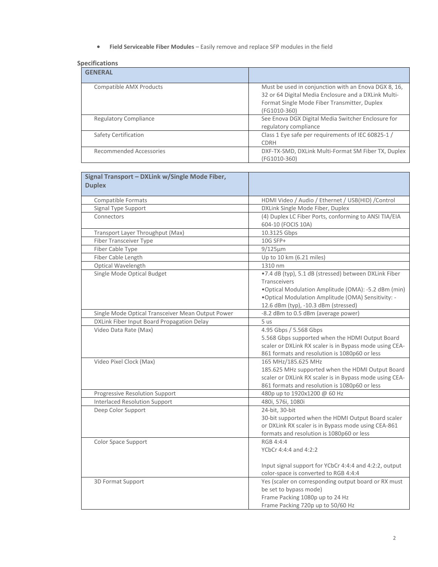**Field Serviceable Fiber Modules** – Easily remove and replace SFP modules in the field

### **Specifications**

| <b>GENERAL</b>               |                                                                                                                                                                              |
|------------------------------|------------------------------------------------------------------------------------------------------------------------------------------------------------------------------|
| Compatible AMX Products      | Must be used in conjunction with an Enova DGX 8, 16,<br>32 or 64 Digital Media Enclosure and a DXLink Multi-<br>Format Single Mode Fiber Transmitter, Duplex<br>(FG1010-360) |
| <b>Regulatory Compliance</b> | See Enova DGX Digital Media Switcher Enclosure for<br>regulatory compliance                                                                                                  |
| Safety Certification         | Class 1 Eye safe per requirements of IEC 60825-1 /<br><b>CDRH</b>                                                                                                            |
| Recommended Accessories      | DXF-TX-SMD, DXLink Multi-Format SM Fiber TX, Duplex<br>(FG1010-360)                                                                                                          |

| Signal Transport - DXLink w/Single Mode Fiber,<br><b>Duplex</b> |                                                                                                                                                                                                                                     |
|-----------------------------------------------------------------|-------------------------------------------------------------------------------------------------------------------------------------------------------------------------------------------------------------------------------------|
| Compatible Formats                                              | HDMI Video / Audio / Ethernet / USB(HID) / Control                                                                                                                                                                                  |
| Signal Type Support                                             | DXLink Single Mode Fiber, Duplex                                                                                                                                                                                                    |
| Connectors                                                      | (4) Duplex LC Fiber Ports, conforming to ANSI TIA/EIA<br>604-10 (FOCIS 10A)                                                                                                                                                         |
| Transport Layer Throughput (Max)                                | 10.3125 Gbps                                                                                                                                                                                                                        |
| <b>Fiber Transceiver Type</b>                                   | 10G SFP+                                                                                                                                                                                                                            |
| Fiber Cable Type                                                | $9/125 \mu m$                                                                                                                                                                                                                       |
| Fiber Cable Length                                              | Up to 10 km (6.21 miles)                                                                                                                                                                                                            |
| Optical Wavelength                                              | 1310 nm                                                                                                                                                                                                                             |
| Single Mode Optical Budget                                      | .7.4 dB (typ), 5.1 dB (stressed) between DXLink Fiber<br><b>Transceivers</b><br>. Optical Modulation Amplitude (OMA): -5.2 dBm (min)<br>. Optical Modulation Amplitude (OMA) Sensitivity: -<br>12.6 dBm (typ), -10.3 dBm (stressed) |
| Single Mode Optical Transceiver Mean Output Power               | -8.2 dBm to 0.5 dBm (average power)                                                                                                                                                                                                 |
| DXLink Fiber Input Board Propagation Delay                      | 5 us                                                                                                                                                                                                                                |
| Video Data Rate (Max)                                           | 4.95 Gbps / 5.568 Gbps<br>5.568 Gbps supported when the HDMI Output Board<br>scaler or DXLink RX scaler is in Bypass mode using CEA-<br>861 formats and resolution is 1080p60 or less                                               |
| Video Pixel Clock (Max)                                         | 165 MHz/185.625 MHz<br>185.625 MHz supported when the HDMI Output Board<br>scaler or DXLink RX scaler is in Bypass mode using CEA-<br>861 formats and resolution is 1080p60 or less                                                 |
| Progressive Resolution Support                                  | 480p up to 1920x1200 @ 60 Hz                                                                                                                                                                                                        |
| <b>Interlaced Resolution Support</b>                            | 480i, 576i, 1080i                                                                                                                                                                                                                   |
| Deep Color Support                                              | 24-bit, 30-bit<br>30-bit supported when the HDMI Output Board scaler<br>or DXLink RX scaler is in Bypass mode using CEA-861<br>formats and resolution is 1080p60 or less                                                            |
| Color Space Support                                             | RGB 4:4:4<br>YCbCr 4:4:4 and 4:2:2<br>Input signal support for YCbCr 4:4:4 and 4:2:2, output<br>color-space is converted to RGB 4:4:4                                                                                               |
| 3D Format Support                                               | Yes (scaler on corresponding output board or RX must<br>be set to bypass mode)<br>Frame Packing 1080p up to 24 Hz<br>Frame Packing 720p up to 50/60 Hz                                                                              |